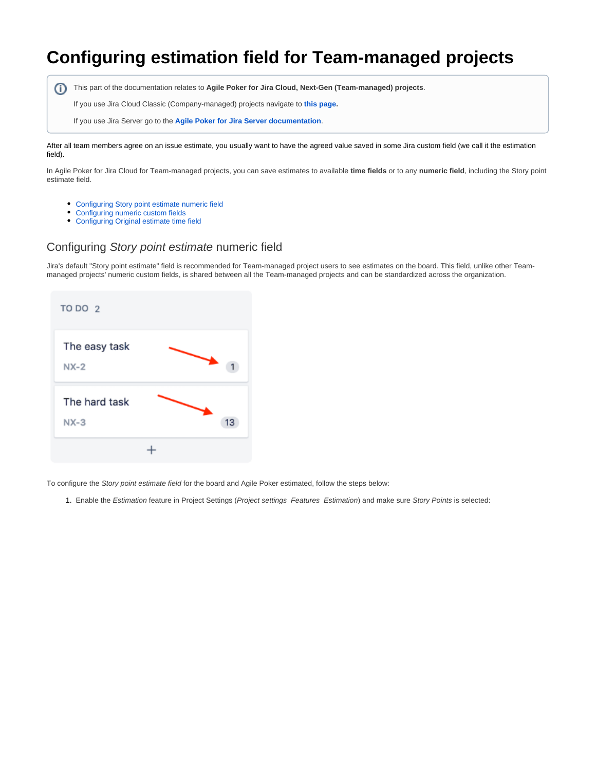# **Configuring estimation field for Team-managed projects**

This part of the documentation relates to **Agile Poker for Jira Cloud, Next-Gen (Team-managed) projects**.

If you use Jira Cloud Classic (Company-managed) projects navigate to **[this page](https://confluence.spartez.com/display/JPP/Configuring+estimation+field+for+classic+projects).**

If you use Jira Server go to the **[Agile Poker for Jira Server documentation](https://confluence.spartez.com/display/JPP/Agile+Poker+-+estimation+tool+for+Jira+Server)**.

After all team members agree on an issue estimate, you usually want to have the agreed value saved in some Jira custom field (we call it the estimation field).

In Agile Poker for Jira Cloud for Team-managed projects, you can save estimates to available **time fields** or to any **numeric field**, including the Story point estimate field.

- [Configuring Story point estimate numeric field](#page-0-0)
- [Configuring numeric custom fields](#page-2-0)
- [Configuring Original estimate time field](#page-3-0)

#### <span id="page-0-0"></span>Configuring Story point estimate numeric field

Jira's default "Story point estimate" field is recommended for Team-managed project users to see estimates on the board. This field, unlike other Teammanaged projects' numeric custom fields, is shared between all the Team-managed projects and can be standardized across the organization.

| TO DO 2                 |    |
|-------------------------|----|
| The easy task<br>$NX-2$ |    |
| The hard task<br>$NX-3$ | 13 |
|                         |    |

To configure the Story point estimate field for the board and Agile Poker estimated, follow the steps below:

1. Enable the Estimation feature in Project Settings (Project settings Features Estimation) and make sure Story Points is selected: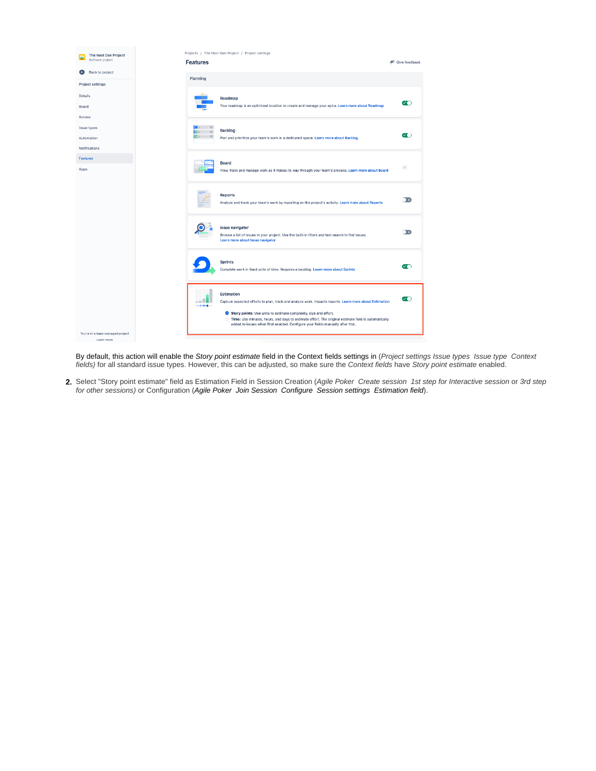

By default, this action will enable the Story point estimate field in the Context fields settings in (Project settings Issue types Issue type Context fields) for all standard issue types. However, this can be adjusted, so make sure the Context fields have Story point estimate enabled.

2. Select "Story point estimate" field as Estimation Field in Session Creation (Agile Poker Create session 1st step for Interactive session or 3rd step for other sessions) or Configuration (Agile Poker Join Session Configure Session settings Estimation field).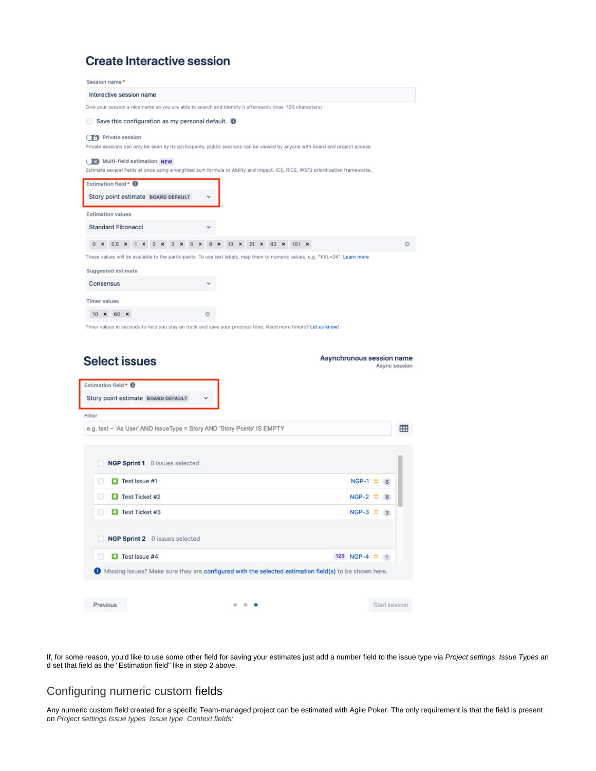## **Create Interactive session**

| Give your session a nice name so you are able to search and identify it afterwards (max. 100 characters)<br>Save this configuration as my personal default. $\bigoplus$<br>u<br>0 x 0.5 x 1 x 2 x 3 x 5 x 8 x 13 x 21 x 42 x 101 x<br>ø<br>Asynchronous session name<br>Async session<br>⊞<br>NGP Sprint 1 0 issues selected<br>a                                                                                                                                                                                                                                                                                                                                                                                                                                                                                                                                                                                                                                |
|------------------------------------------------------------------------------------------------------------------------------------------------------------------------------------------------------------------------------------------------------------------------------------------------------------------------------------------------------------------------------------------------------------------------------------------------------------------------------------------------------------------------------------------------------------------------------------------------------------------------------------------------------------------------------------------------------------------------------------------------------------------------------------------------------------------------------------------------------------------------------------------------------------------------------------------------------------------|
| <b>CE</b> Private session<br>Private sessions can only be seen by its participants, public sessions can be viewed by anyone with board and project access.<br>(K) Multi-field estimation NEW<br>Estimate several fields at once using a weighted sum formula or Ability and Impact, ICE, RICE, WSFJ prioritization frameworks.<br>Estimation field • <b>O</b><br>Story point estimate BOARD DEFAULT<br><b>Estimation values</b><br>Standard Fibonacci<br>These values will be available to the participants. To use text labels, map them to numeric values, e.g. "XXL=34". Learn more<br>Suggested estimate<br>Consensus<br><b>Timer values</b><br>10 × 60 ×<br>Timer values in seconds to help you stay on track and save your precious time. Need more timers? Let us know!<br><b>Select issues</b><br>Estimation field • <b>O</b><br>Story point estimate BOARD DEFAULT<br>Filter<br>e.g. text ~ 'As User' AND IssueType = Story AND 'Story Points' IS EMPTY |
|                                                                                                                                                                                                                                                                                                                                                                                                                                                                                                                                                                                                                                                                                                                                                                                                                                                                                                                                                                  |
|                                                                                                                                                                                                                                                                                                                                                                                                                                                                                                                                                                                                                                                                                                                                                                                                                                                                                                                                                                  |
|                                                                                                                                                                                                                                                                                                                                                                                                                                                                                                                                                                                                                                                                                                                                                                                                                                                                                                                                                                  |
|                                                                                                                                                                                                                                                                                                                                                                                                                                                                                                                                                                                                                                                                                                                                                                                                                                                                                                                                                                  |
|                                                                                                                                                                                                                                                                                                                                                                                                                                                                                                                                                                                                                                                                                                                                                                                                                                                                                                                                                                  |
|                                                                                                                                                                                                                                                                                                                                                                                                                                                                                                                                                                                                                                                                                                                                                                                                                                                                                                                                                                  |
|                                                                                                                                                                                                                                                                                                                                                                                                                                                                                                                                                                                                                                                                                                                                                                                                                                                                                                                                                                  |
|                                                                                                                                                                                                                                                                                                                                                                                                                                                                                                                                                                                                                                                                                                                                                                                                                                                                                                                                                                  |
|                                                                                                                                                                                                                                                                                                                                                                                                                                                                                                                                                                                                                                                                                                                                                                                                                                                                                                                                                                  |
|                                                                                                                                                                                                                                                                                                                                                                                                                                                                                                                                                                                                                                                                                                                                                                                                                                                                                                                                                                  |
|                                                                                                                                                                                                                                                                                                                                                                                                                                                                                                                                                                                                                                                                                                                                                                                                                                                                                                                                                                  |
|                                                                                                                                                                                                                                                                                                                                                                                                                                                                                                                                                                                                                                                                                                                                                                                                                                                                                                                                                                  |
|                                                                                                                                                                                                                                                                                                                                                                                                                                                                                                                                                                                                                                                                                                                                                                                                                                                                                                                                                                  |
|                                                                                                                                                                                                                                                                                                                                                                                                                                                                                                                                                                                                                                                                                                                                                                                                                                                                                                                                                                  |
|                                                                                                                                                                                                                                                                                                                                                                                                                                                                                                                                                                                                                                                                                                                                                                                                                                                                                                                                                                  |
|                                                                                                                                                                                                                                                                                                                                                                                                                                                                                                                                                                                                                                                                                                                                                                                                                                                                                                                                                                  |
|                                                                                                                                                                                                                                                                                                                                                                                                                                                                                                                                                                                                                                                                                                                                                                                                                                                                                                                                                                  |
|                                                                                                                                                                                                                                                                                                                                                                                                                                                                                                                                                                                                                                                                                                                                                                                                                                                                                                                                                                  |
|                                                                                                                                                                                                                                                                                                                                                                                                                                                                                                                                                                                                                                                                                                                                                                                                                                                                                                                                                                  |
|                                                                                                                                                                                                                                                                                                                                                                                                                                                                                                                                                                                                                                                                                                                                                                                                                                                                                                                                                                  |
|                                                                                                                                                                                                                                                                                                                                                                                                                                                                                                                                                                                                                                                                                                                                                                                                                                                                                                                                                                  |
|                                                                                                                                                                                                                                                                                                                                                                                                                                                                                                                                                                                                                                                                                                                                                                                                                                                                                                                                                                  |
| $\Box$ Test Issue #1<br>$NGP-1 = 6$<br>o                                                                                                                                                                                                                                                                                                                                                                                                                                                                                                                                                                                                                                                                                                                                                                                                                                                                                                                         |
|                                                                                                                                                                                                                                                                                                                                                                                                                                                                                                                                                                                                                                                                                                                                                                                                                                                                                                                                                                  |
| o<br><b>D</b> Test Ticket #2<br>$NGP - 2 = 8$                                                                                                                                                                                                                                                                                                                                                                                                                                                                                                                                                                                                                                                                                                                                                                                                                                                                                                                    |
| $NGP-3 = 3$<br><b>LI</b> Test Ticket #3<br>U                                                                                                                                                                                                                                                                                                                                                                                                                                                                                                                                                                                                                                                                                                                                                                                                                                                                                                                     |
|                                                                                                                                                                                                                                                                                                                                                                                                                                                                                                                                                                                                                                                                                                                                                                                                                                                                                                                                                                  |
| NGP Sprint 2 0 issues selected                                                                                                                                                                                                                                                                                                                                                                                                                                                                                                                                                                                                                                                                                                                                                                                                                                                                                                                                   |
| 123 NGP-4 $\equiv$ 1<br><b>El</b> Test Issue #4<br>u                                                                                                                                                                                                                                                                                                                                                                                                                                                                                                                                                                                                                                                                                                                                                                                                                                                                                                             |
|                                                                                                                                                                                                                                                                                                                                                                                                                                                                                                                                                                                                                                                                                                                                                                                                                                                                                                                                                                  |
|                                                                                                                                                                                                                                                                                                                                                                                                                                                                                                                                                                                                                                                                                                                                                                                                                                                                                                                                                                  |
|                                                                                                                                                                                                                                                                                                                                                                                                                                                                                                                                                                                                                                                                                                                                                                                                                                                                                                                                                                  |
|                                                                                                                                                                                                                                                                                                                                                                                                                                                                                                                                                                                                                                                                                                                                                                                                                                                                                                                                                                  |
|                                                                                                                                                                                                                                                                                                                                                                                                                                                                                                                                                                                                                                                                                                                                                                                                                                                                                                                                                                  |
|                                                                                                                                                                                                                                                                                                                                                                                                                                                                                                                                                                                                                                                                                                                                                                                                                                                                                                                                                                  |
|                                                                                                                                                                                                                                                                                                                                                                                                                                                                                                                                                                                                                                                                                                                                                                                                                                                                                                                                                                  |
|                                                                                                                                                                                                                                                                                                                                                                                                                                                                                                                                                                                                                                                                                                                                                                                                                                                                                                                                                                  |
|                                                                                                                                                                                                                                                                                                                                                                                                                                                                                                                                                                                                                                                                                                                                                                                                                                                                                                                                                                  |
|                                                                                                                                                                                                                                                                                                                                                                                                                                                                                                                                                                                                                                                                                                                                                                                                                                                                                                                                                                  |
|                                                                                                                                                                                                                                                                                                                                                                                                                                                                                                                                                                                                                                                                                                                                                                                                                                                                                                                                                                  |
|                                                                                                                                                                                                                                                                                                                                                                                                                                                                                                                                                                                                                                                                                                                                                                                                                                                                                                                                                                  |
|                                                                                                                                                                                                                                                                                                                                                                                                                                                                                                                                                                                                                                                                                                                                                                                                                                                                                                                                                                  |
|                                                                                                                                                                                                                                                                                                                                                                                                                                                                                                                                                                                                                                                                                                                                                                                                                                                                                                                                                                  |
|                                                                                                                                                                                                                                                                                                                                                                                                                                                                                                                                                                                                                                                                                                                                                                                                                                                                                                                                                                  |
|                                                                                                                                                                                                                                                                                                                                                                                                                                                                                                                                                                                                                                                                                                                                                                                                                                                                                                                                                                  |
|                                                                                                                                                                                                                                                                                                                                                                                                                                                                                                                                                                                                                                                                                                                                                                                                                                                                                                                                                                  |
|                                                                                                                                                                                                                                                                                                                                                                                                                                                                                                                                                                                                                                                                                                                                                                                                                                                                                                                                                                  |
|                                                                                                                                                                                                                                                                                                                                                                                                                                                                                                                                                                                                                                                                                                                                                                                                                                                                                                                                                                  |
|                                                                                                                                                                                                                                                                                                                                                                                                                                                                                                                                                                                                                                                                                                                                                                                                                                                                                                                                                                  |
|                                                                                                                                                                                                                                                                                                                                                                                                                                                                                                                                                                                                                                                                                                                                                                                                                                                                                                                                                                  |
|                                                                                                                                                                                                                                                                                                                                                                                                                                                                                                                                                                                                                                                                                                                                                                                                                                                                                                                                                                  |
|                                                                                                                                                                                                                                                                                                                                                                                                                                                                                                                                                                                                                                                                                                                                                                                                                                                                                                                                                                  |
|                                                                                                                                                                                                                                                                                                                                                                                                                                                                                                                                                                                                                                                                                                                                                                                                                                                                                                                                                                  |
|                                                                                                                                                                                                                                                                                                                                                                                                                                                                                                                                                                                                                                                                                                                                                                                                                                                                                                                                                                  |
|                                                                                                                                                                                                                                                                                                                                                                                                                                                                                                                                                                                                                                                                                                                                                                                                                                                                                                                                                                  |
|                                                                                                                                                                                                                                                                                                                                                                                                                                                                                                                                                                                                                                                                                                                                                                                                                                                                                                                                                                  |
|                                                                                                                                                                                                                                                                                                                                                                                                                                                                                                                                                                                                                                                                                                                                                                                                                                                                                                                                                                  |
|                                                                                                                                                                                                                                                                                                                                                                                                                                                                                                                                                                                                                                                                                                                                                                                                                                                                                                                                                                  |
|                                                                                                                                                                                                                                                                                                                                                                                                                                                                                                                                                                                                                                                                                                                                                                                                                                                                                                                                                                  |
|                                                                                                                                                                                                                                                                                                                                                                                                                                                                                                                                                                                                                                                                                                                                                                                                                                                                                                                                                                  |

If, for some reason, you'd like to use some other field for saving your estimates just add a number field to the issue type via Project settings Issue Types an d set that field as the "Estimation field" like in step 2 above.

### <span id="page-2-0"></span>Configuring numeric custom fields

Any numeric custom field created for a specific Team-managed project can be estimated with Agile Poker. The only requirement is that the field is present on Project settings Issue types Issue type Context fields: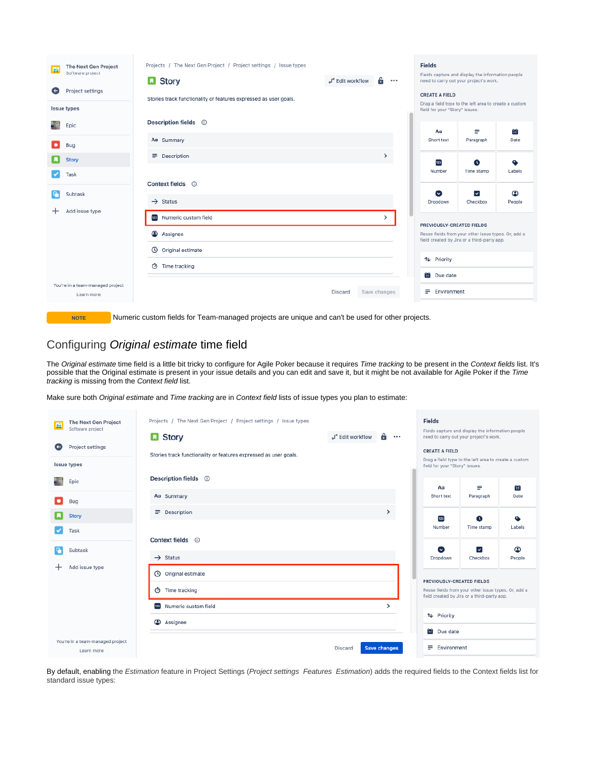| 層                 | The Next Gen Project<br>Software project       | Projects / The Next Gen Project / Project settings / Issue types                                 |                              |               | <b>Fields</b><br>Fields capture and display the information people |                                                                                                    |             |  |
|-------------------|------------------------------------------------|--------------------------------------------------------------------------------------------------|------------------------------|---------------|--------------------------------------------------------------------|----------------------------------------------------------------------------------------------------|-------------|--|
|                   |                                                | <b>D</b> Story                                                                                   | a <sup>o</sup> Edit workflow | ÷<br>$\cdots$ |                                                                    | need to carry out your project's work.                                                             |             |  |
| $\left( -\right)$ | Project settings                               | Stories track functionality or features expressed as user goals.                                 |                              |               | <b>CREATE A FIELD</b>                                              |                                                                                                    |             |  |
|                   | <b>Issue types</b>                             |                                                                                                  |                              |               |                                                                    | Drag a field type to the left area to create a custom<br>field for your "Story" issues.            |             |  |
|                   | Epic                                           | Description fields <sup>1</sup>                                                                  |                              |               | Aα                                                                 | ≡                                                                                                  | Ťπ          |  |
| $\bullet$         | Bug                                            | Aa Summary                                                                                       |                              |               | Short text                                                         | Paragraph                                                                                          | Date        |  |
|                   | Story                                          | $\rightarrow$<br>$\equiv$ Description                                                            |                              |               | 123                                                                | O                                                                                                  | ٠           |  |
|                   | Task                                           |                                                                                                  |                              |               | Number                                                             | Time stamp                                                                                         | Labels      |  |
|                   |                                                | Context fields ①                                                                                 |                              |               |                                                                    |                                                                                                    |             |  |
| q,                | Subtask                                        | $\rightarrow$ Status                                                                             |                              |               | $\bullet$<br>Dropdown                                              | ▽<br>Checkbox                                                                                      | ☎<br>People |  |
| +                 | Add issue type                                 | 123 Numeric custom field                                                                         |                              | $\rightarrow$ | PREVIOUSLY-CREATED FIELDS                                          |                                                                                                    |             |  |
|                   |                                                | Assignee                                                                                         |                              |               |                                                                    | Reuse fields from your other issue types. Or, add a<br>field created by Jira or a third-party app. |             |  |
|                   |                                                | <b>①</b> Original estimate                                                                       |                              |               |                                                                    |                                                                                                    |             |  |
|                   |                                                | Time tracking                                                                                    |                              |               | ↑↓ Priority                                                        |                                                                                                    |             |  |
|                   |                                                |                                                                                                  |                              |               | till Due date                                                      |                                                                                                    |             |  |
|                   | You're in a team-managed project<br>Learn more | Save changes<br>Discard                                                                          |                              |               | $\equiv$ Environment                                               |                                                                                                    |             |  |
|                   |                                                |                                                                                                  |                              |               |                                                                    |                                                                                                    |             |  |
|                   | <b>NOTE</b>                                    | Numeric custom fields for Team-managed projects are unique and can't be used for other projects. |                              |               |                                                                    |                                                                                                    |             |  |

## <span id="page-3-0"></span>Configuring Original estimate time field

The Original estimate time field is a little bit tricky to configure for Agile Poker because it requires Time tracking to be present in the Context fields list. It's possible that the Original estimate is present in your issue details and you can edit and save it, but it might be not available for Agile Poker if the Time tracking is missing from the Context field list.

Make sure both Original estimate and Time tracking are in Context field lists of issue types you plan to estimate:

| The Next Gen Project<br>점<br>Software project<br>Project settings<br>$\leftarrow$ | Projects / The Next Gen Project / Project settings / Issue types<br><b>D</b> Story<br>â.<br>الہ fedit workflow<br>$\cdots$ |                                                                                                                  |                     | <b>Fields</b><br>Fields capture and display the information people<br>need to carry out your project's work. |                  |                     |  |
|-----------------------------------------------------------------------------------|----------------------------------------------------------------------------------------------------------------------------|------------------------------------------------------------------------------------------------------------------|---------------------|--------------------------------------------------------------------------------------------------------------|------------------|---------------------|--|
| <b>Issue types</b>                                                                | Stories track functionality or features expressed as user goals.                                                           | <b>CREATE A FIELD</b><br>Drag a field type to the left area to create a custom<br>field for your "Story" issues. |                     |                                                                                                              |                  |                     |  |
| Epic                                                                              | Description fields ©                                                                                                       |                                                                                                                  |                     | Aα                                                                                                           | ₽                | ïщ                  |  |
| ٠<br>Bug                                                                          | Aa Summary                                                                                                                 |                                                                                                                  |                     | Short text                                                                                                   | Paragraph        | Date                |  |
| Story                                                                             | $\equiv$ Description                                                                                                       |                                                                                                                  | $\rightarrow$       | 123                                                                                                          | $\mathbf \Omega$ | ۰                   |  |
| Task                                                                              | Context fields (i)                                                                                                         |                                                                                                                  |                     | Number                                                                                                       | Time stamp       | Labels              |  |
| Q<br>Subtask                                                                      | $\rightarrow$ Status                                                                                                       |                                                                                                                  |                     | $\bullet$<br>Dropdown                                                                                        | ▽<br>Checkbox    | $\bullet$<br>People |  |
| Add issue type                                                                    | (V) Original estimate                                                                                                      |                                                                                                                  |                     | <b>PREVIOUSLY-CREATED FIELDS</b>                                                                             |                  |                     |  |
|                                                                                   | ← Time tracking                                                                                                            |                                                                                                                  |                     | Reuse fields from your other issue types. Or, add a<br>field created by Jira or a third-party app.           |                  |                     |  |
|                                                                                   | 123 Numeric custom field<br>$\rightarrow$                                                                                  |                                                                                                                  |                     |                                                                                                              |                  |                     |  |
|                                                                                   | Assignee                                                                                                                   |                                                                                                                  |                     | <b>↑↓</b> Priority                                                                                           |                  |                     |  |
| You're in a team-managed project                                                  |                                                                                                                            |                                                                                                                  |                     | till Due date                                                                                                |                  |                     |  |
| Learn more                                                                        |                                                                                                                            | <b>Discard</b>                                                                                                   | <b>Save changes</b> | $\equiv$ Environment                                                                                         |                  |                     |  |

By default, enabling the Estimation feature in Project Settings (Project settings Features Estimation) adds the required fields to the Context fields list for standard issue types: